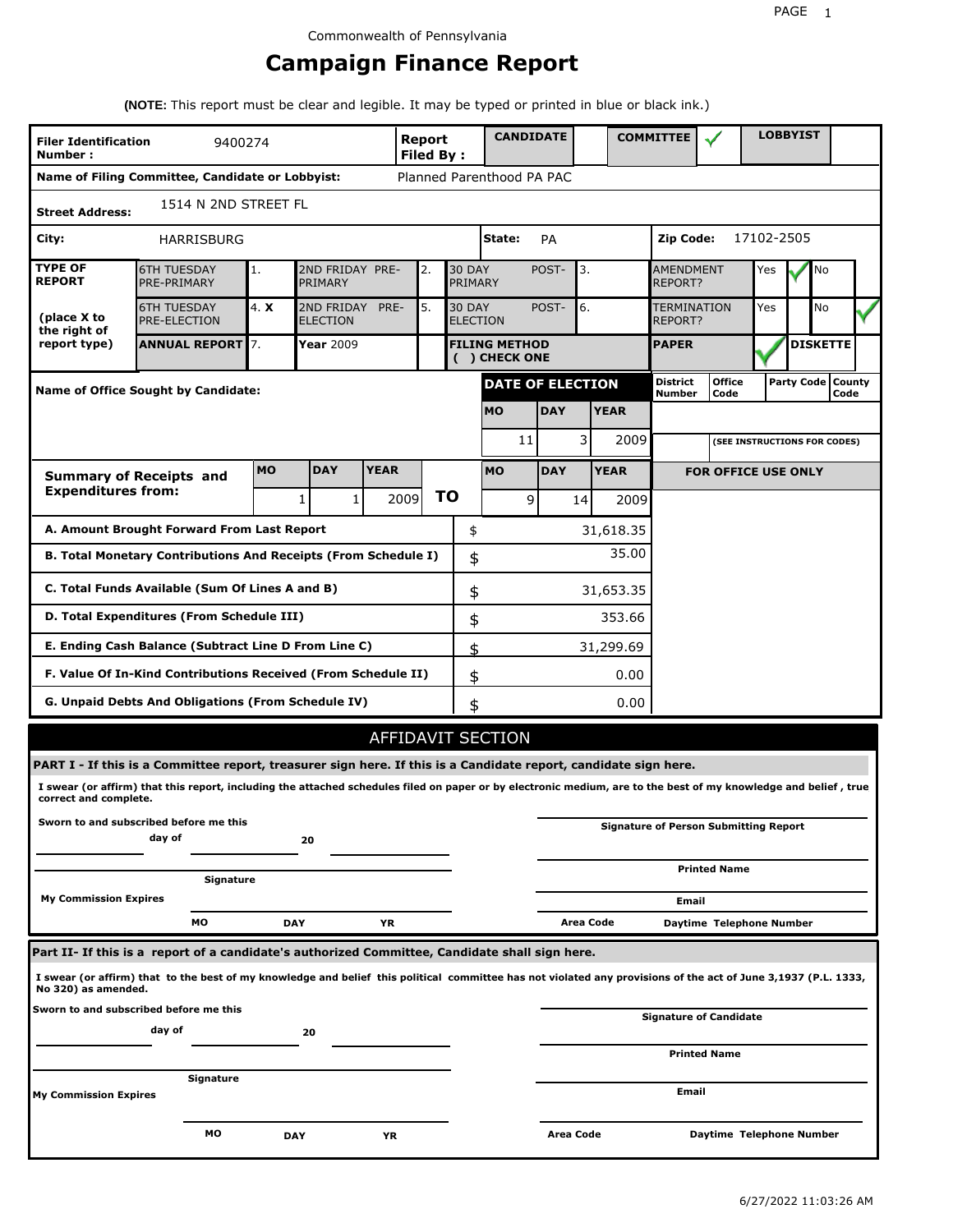# **Campaign Finance Report**

**(NOTE:** This report must be clear and legible. It may be typed or printed in blue or black ink.)

| <b>Filer Identification</b><br>Number: | 9400274                                                                                                                                                         |           |                               |              | <b>Report</b><br><b>Filed By:</b> |                                  | <b>CANDIDATE</b>                      |            |           |             | <b>COMMITTEE</b>                   |                                              |            | <b>LOBBYIST</b> |                             |  |
|----------------------------------------|-----------------------------------------------------------------------------------------------------------------------------------------------------------------|-----------|-------------------------------|--------------|-----------------------------------|----------------------------------|---------------------------------------|------------|-----------|-------------|------------------------------------|----------------------------------------------|------------|-----------------|-----------------------------|--|
|                                        | Name of Filing Committee, Candidate or Lobbyist:                                                                                                                |           |                               |              |                                   |                                  | Planned Parenthood PA PAC             |            |           |             |                                    |                                              |            |                 |                             |  |
| <b>Street Address:</b>                 | 1514 N 2ND STREET FL                                                                                                                                            |           |                               |              |                                   |                                  |                                       |            |           |             |                                    |                                              |            |                 |                             |  |
| City:                                  | HARRISBURG                                                                                                                                                      |           |                               |              |                                   |                                  | State:                                | PA         |           |             | Zip Code:                          |                                              | 17102-2505 |                 |                             |  |
| <b>TYPE OF</b><br><b>REPORT</b>        | <b>6TH TUESDAY</b><br>PRE-PRIMARY                                                                                                                               | 1.        | 2ND FRIDAY PRE-<br>PRIMARY    |              | 2.                                | <b>30 DAY</b><br>PRIMARY         |                                       | POST-      | 3.        |             | <b>AMENDMENT</b><br><b>REPORT?</b> | Yes                                          |            | No              |                             |  |
| (place X to<br>the right of            | <b>6TH TUESDAY</b><br><b>PRE-ELECTION</b>                                                                                                                       | 4. X      | 2ND FRIDAY<br><b>ELECTION</b> | PRE-         | 5.                                | <b>30 DAY</b><br><b>ELECTION</b> |                                       | POST-      | 6.        |             |                                    | <b>TERMINATION</b><br>REPORT?                |            |                 | No                          |  |
| report type)                           | <b>ANNUAL REPORT</b> 7.                                                                                                                                         |           | Year 2009                     |              |                                   |                                  | <b>FILING METHOD</b><br>( ) CHECK ONE |            |           |             | <b>PAPER</b>                       |                                              |            |                 | <b>DISKETTE</b>             |  |
|                                        | Name of Office Sought by Candidate:                                                                                                                             |           |                               |              |                                   |                                  | <b>DATE OF ELECTION</b>               |            |           |             | <b>District</b><br>Number          | <b>Office</b><br>Code                        |            |                 | Party Code   County<br>Code |  |
|                                        |                                                                                                                                                                 |           |                               |              |                                   |                                  | <b>MO</b>                             | <b>DAY</b> |           | <b>YEAR</b> |                                    |                                              |            |                 |                             |  |
|                                        |                                                                                                                                                                 |           |                               |              |                                   |                                  | 11                                    |            | 3         | 2009        |                                    | (SEE INSTRUCTIONS FOR CODES)                 |            |                 |                             |  |
|                                        | <b>Summary of Receipts and</b>                                                                                                                                  | <b>MO</b> | <b>DAY</b>                    | <b>YEAR</b>  |                                   |                                  | <b>MO</b>                             | <b>DAY</b> |           | <b>YEAR</b> |                                    | <b>FOR OFFICE USE ONLY</b>                   |            |                 |                             |  |
| <b>Expenditures from:</b>              |                                                                                                                                                                 |           | 1                             | $\mathbf{1}$ | 2009                              | ΤO                               | 9                                     |            | 14        | 2009        |                                    |                                              |            |                 |                             |  |
|                                        | A. Amount Brought Forward From Last Report                                                                                                                      |           |                               |              |                                   | \$                               |                                       |            |           | 31,618.35   |                                    |                                              |            |                 |                             |  |
|                                        | B. Total Monetary Contributions And Receipts (From Schedule I)                                                                                                  |           |                               |              |                                   | \$                               |                                       |            |           | 35.00       |                                    |                                              |            |                 |                             |  |
|                                        | C. Total Funds Available (Sum Of Lines A and B)                                                                                                                 |           |                               |              |                                   | \$                               |                                       |            |           | 31,653.35   |                                    |                                              |            |                 |                             |  |
|                                        | D. Total Expenditures (From Schedule III)                                                                                                                       |           |                               |              |                                   | \$                               |                                       |            |           | 353.66      |                                    |                                              |            |                 |                             |  |
|                                        | E. Ending Cash Balance (Subtract Line D From Line C)                                                                                                            |           |                               |              |                                   | \$                               |                                       |            |           | 31,299.69   |                                    |                                              |            |                 |                             |  |
|                                        | F. Value Of In-Kind Contributions Received (From Schedule II)                                                                                                   |           |                               |              |                                   | \$                               |                                       |            |           | 0.00        |                                    |                                              |            |                 |                             |  |
|                                        | G. Unpaid Debts And Obligations (From Schedule IV)                                                                                                              |           |                               |              |                                   | \$                               |                                       |            |           | 0.00        |                                    |                                              |            |                 |                             |  |
|                                        |                                                                                                                                                                 |           |                               |              |                                   |                                  | AFFIDAVIT SECTION                     |            |           |             |                                    |                                              |            |                 |                             |  |
|                                        | PART I - If this is a Committee report, treasurer sign here. If this is a Candidate report, candidate sign here.                                                |           |                               |              |                                   |                                  |                                       |            |           |             |                                    |                                              |            |                 |                             |  |
| correct and complete.                  | I swear (or affirm) that this report, including the attached schedules filed on paper or by electronic medium, are to the best of my knowledge and belief, true |           |                               |              |                                   |                                  |                                       |            |           |             |                                    |                                              |            |                 |                             |  |
|                                        | Sworn to and subscribed before me this<br>day of                                                                                                                |           | 20                            |              |                                   |                                  |                                       |            |           |             |                                    | <b>Signature of Person Submitting Report</b> |            |                 |                             |  |
|                                        | Signature                                                                                                                                                       |           |                               |              |                                   |                                  |                                       |            |           |             |                                    | <b>Printed Name</b>                          |            |                 |                             |  |
| <b>My Commission Expires</b>           |                                                                                                                                                                 |           |                               |              |                                   |                                  |                                       |            |           |             | Email                              |                                              |            |                 |                             |  |
|                                        | МO                                                                                                                                                              |           | <b>DAY</b>                    | YR           |                                   |                                  |                                       |            | Area Code |             |                                    | Daytime Telephone Number                     |            |                 |                             |  |
|                                        | Part II- If this is a report of a candidate's authorized Committee, Candidate shall sign here.                                                                  |           |                               |              |                                   |                                  |                                       |            |           |             |                                    |                                              |            |                 |                             |  |
| No 320) as amended.                    | I swear (or affirm) that to the best of my knowledge and belief this political committee has not violated any provisions of the act of June 3,1937 (P.L. 1333,  |           |                               |              |                                   |                                  |                                       |            |           |             |                                    |                                              |            |                 |                             |  |
|                                        | Sworn to and subscribed before me this<br>day of                                                                                                                |           | 20                            |              |                                   |                                  |                                       |            |           |             |                                    | <b>Signature of Candidate</b>                |            |                 |                             |  |
|                                        |                                                                                                                                                                 |           |                               |              |                                   |                                  |                                       |            |           |             |                                    | <b>Printed Name</b>                          |            |                 |                             |  |
| My Commission Expires                  | Signature                                                                                                                                                       |           |                               |              |                                   |                                  |                                       |            |           |             | Email                              |                                              |            |                 |                             |  |
|                                        |                                                                                                                                                                 |           |                               |              |                                   |                                  |                                       |            |           |             |                                    |                                              |            |                 |                             |  |
|                                        | МO                                                                                                                                                              |           | <b>DAY</b>                    | YR           |                                   |                                  |                                       | Area Code  |           |             |                                    | Daytime Telephone Number                     |            |                 |                             |  |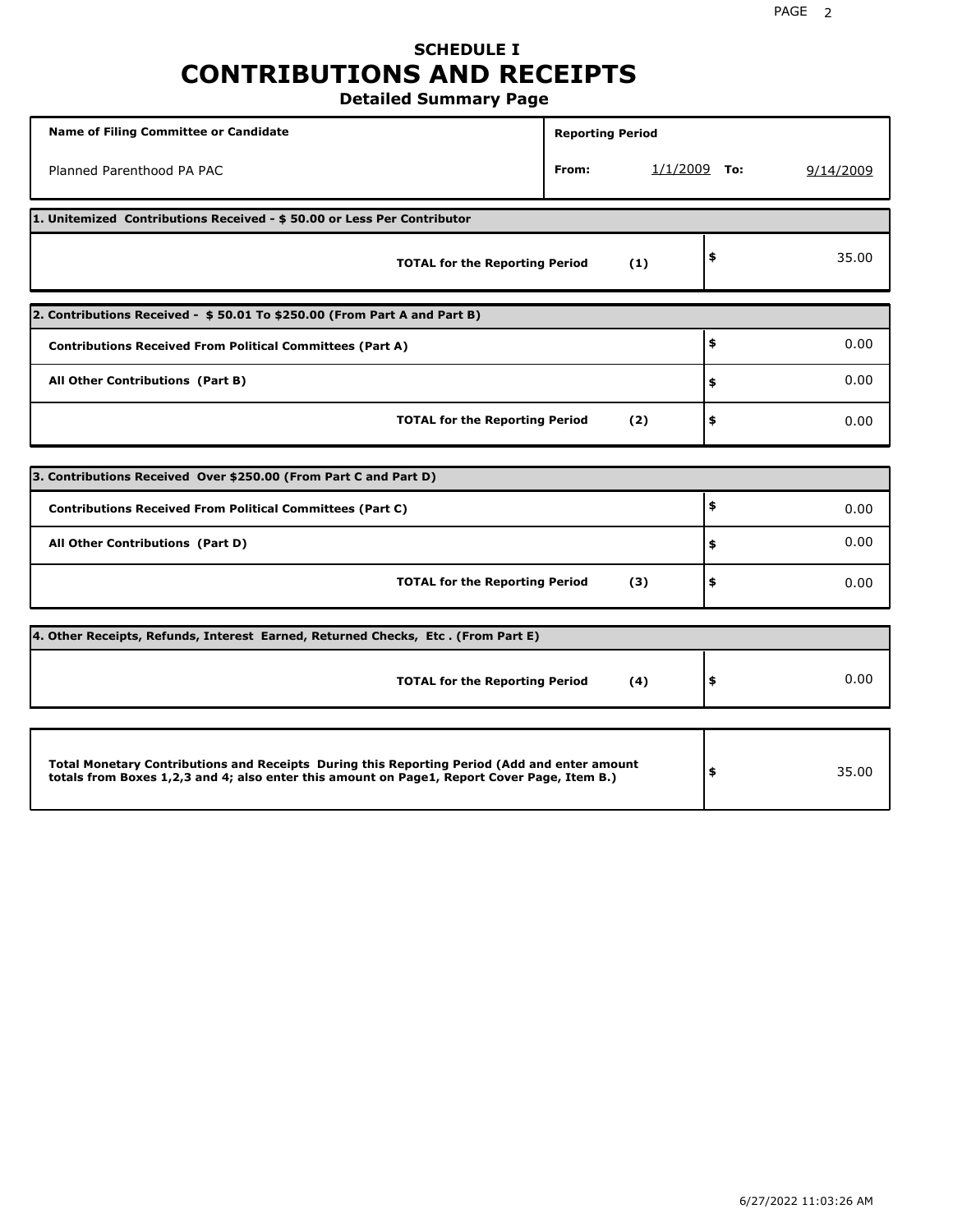### **SCHEDULE I CONTRIBUTIONS AND RECEIPTS Detailed Summary Page**

**Name of Filing Committee or Candidate Reporting Period Reporting Period** Planned Parenthood PA PAC **From:** 1/1/2009 **To:** 9/14/2009 **1. Unitemized Contributions Received - \$ 50.00 or Less Per Contributor TOTAL for the Reporting Period (1) \$** 35.00 **2. Contributions Received - \$ 50.01 To \$250.00 (From Part A and Part B) TOTAL for the Reporting Period (2) Contributions Received From Political Committees (Part A) All Other Contributions (Part B) \$ \$ \$** 0.00 0.00 0.00 **3. Contributions Received Over \$250.00 (From Part C and Part D) TOTAL for the Reporting Period (3) Contributions Received From Political Committees (Part C) All Other Contributions (Part D) \$ \$ \$** 0.00 0.00 0.00 **4. Other Receipts, Refunds, Interest Earned, Returned Checks, Etc . (From Part E) TOTAL for the Reporting Period (4) \$** 0.00 **Total Monetary Contributions and Receipts During this Reporting Period (Add and enter amount totals from Boxes 1,2,3 and 4; also enter this amount on Page1, Report Cover Page, Item B.) \$** 35.00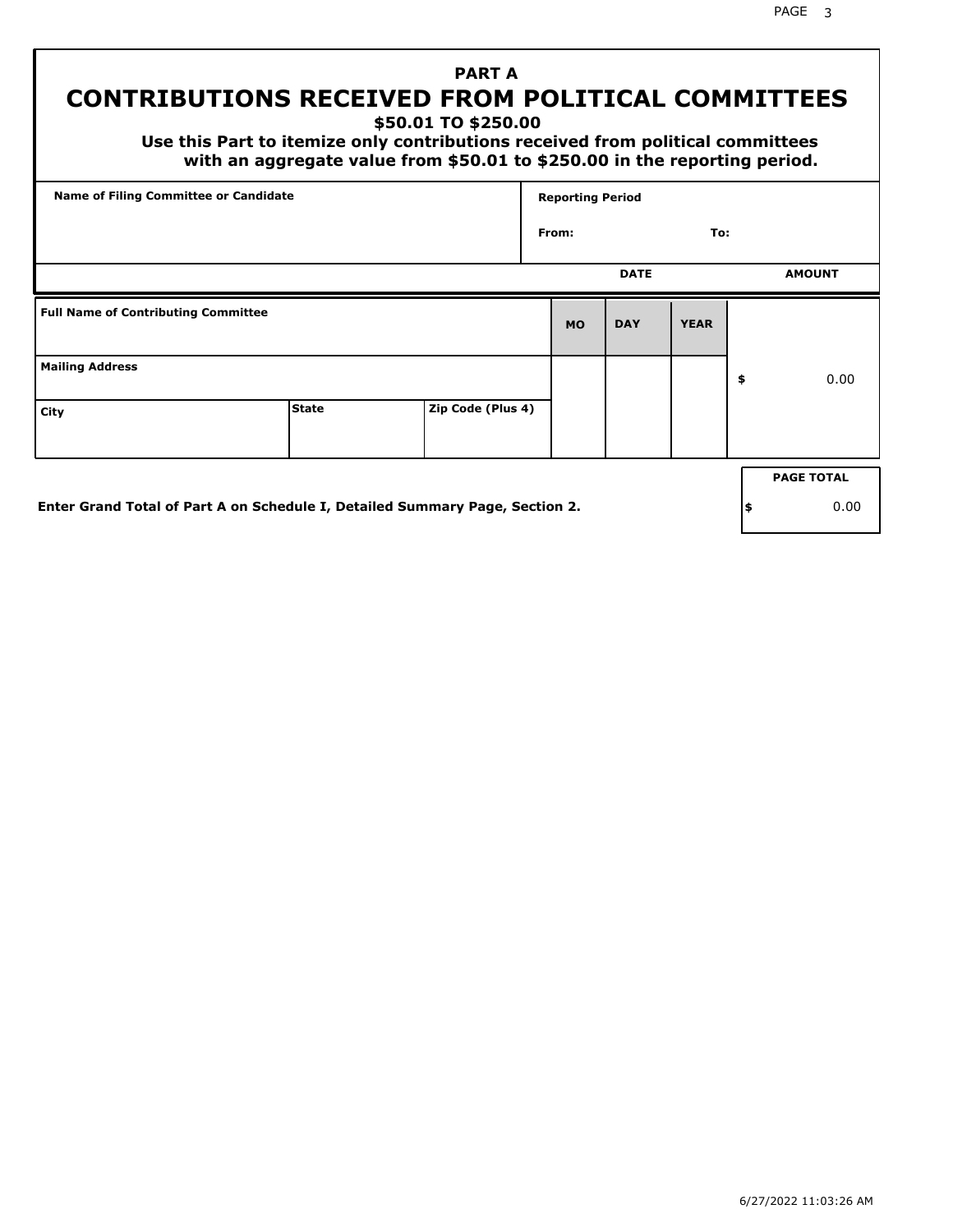PAGE 3

# **PART A CONTRIBUTIONS RECEIVED FROM POLITICAL COMMITTEES**

**\$50.01 TO \$250.00**

 **Use this Part to itemize only contributions received from political committees with an aggregate value from \$50.01 to \$250.00 in the reporting period.**

|                                            | Name of Filing Committee or Candidate                                        |                   |           | <b>Reporting Period</b> |             |     |                   |
|--------------------------------------------|------------------------------------------------------------------------------|-------------------|-----------|-------------------------|-------------|-----|-------------------|
|                                            |                                                                              |                   | From:     |                         | To:         |     |                   |
|                                            |                                                                              |                   |           | <b>DATE</b>             |             |     | <b>AMOUNT</b>     |
| <b>Full Name of Contributing Committee</b> |                                                                              |                   | <b>MO</b> | <b>DAY</b>              | <b>YEAR</b> |     |                   |
| <b>Mailing Address</b>                     |                                                                              |                   |           |                         |             | \$  | 0.00              |
| City                                       | <b>State</b>                                                                 | Zip Code (Plus 4) |           |                         |             |     |                   |
|                                            |                                                                              |                   |           |                         |             |     | <b>PAGE TOTAL</b> |
|                                            | Enter Grand Total of Part A on Schedule I, Detailed Summary Page, Section 2. |                   |           |                         |             | ∣\$ | 0.00              |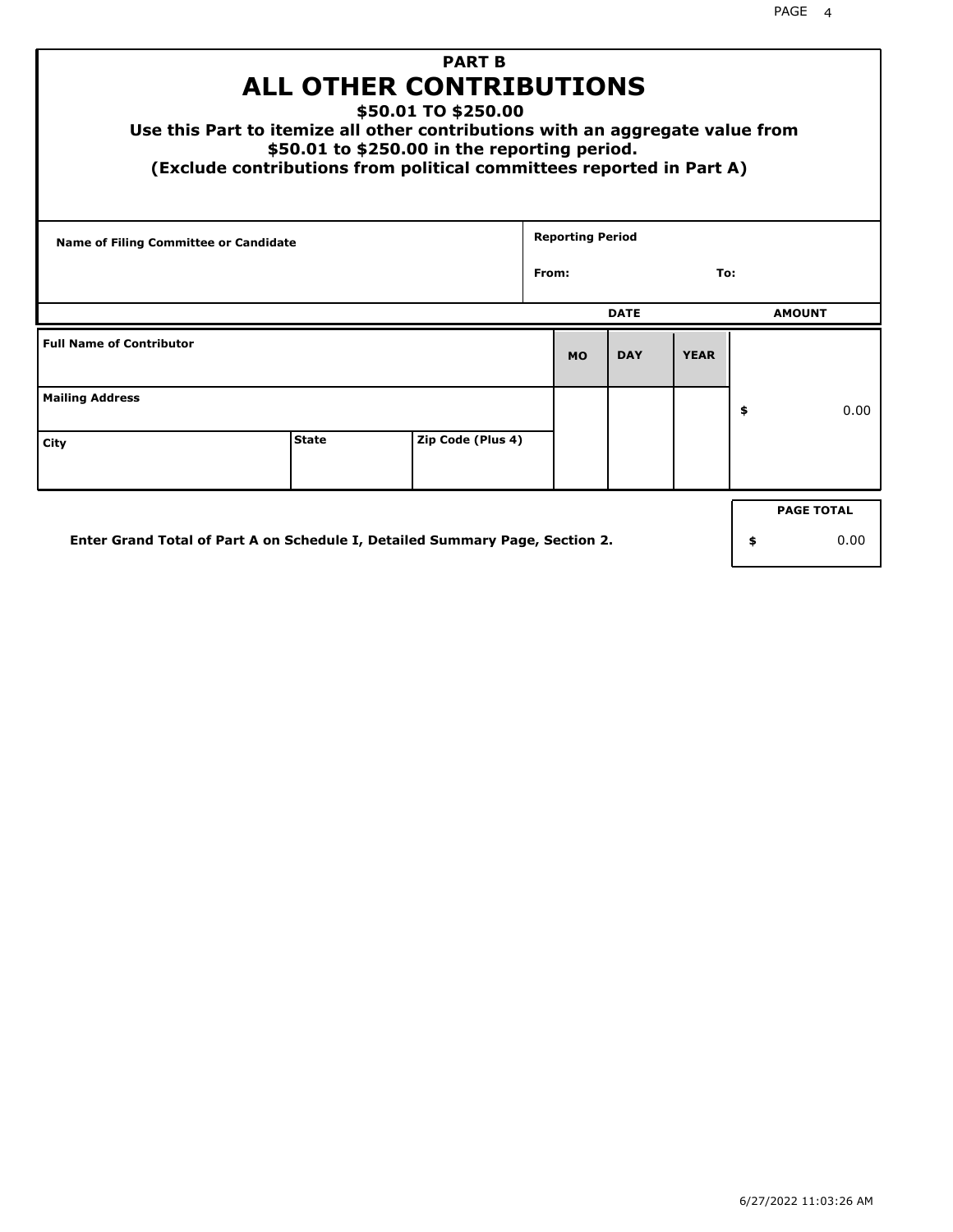| <b>PART B</b><br><b>ALL OTHER CONTRIBUTIONS</b><br>\$50.01 TO \$250.00<br>Use this Part to itemize all other contributions with an aggregate value from<br>\$50.01 to \$250.00 in the reporting period.<br>(Exclude contributions from political committees reported in Part A) |              |                   |       |                         |             |             |    |               |  |
|---------------------------------------------------------------------------------------------------------------------------------------------------------------------------------------------------------------------------------------------------------------------------------|--------------|-------------------|-------|-------------------------|-------------|-------------|----|---------------|--|
| <b>Name of Filing Committee or Candidate</b>                                                                                                                                                                                                                                    |              |                   |       | <b>Reporting Period</b> |             |             |    |               |  |
|                                                                                                                                                                                                                                                                                 |              |                   | From: |                         |             | To:         |    |               |  |
|                                                                                                                                                                                                                                                                                 |              |                   |       |                         | <b>DATE</b> |             |    | <b>AMOUNT</b> |  |
| <b>Full Name of Contributor</b>                                                                                                                                                                                                                                                 |              |                   |       | <b>MO</b>               | <b>DAY</b>  | <b>YEAR</b> |    |               |  |
| <b>Mailing Address</b>                                                                                                                                                                                                                                                          |              |                   |       |                         |             |             | \$ | 0.00          |  |
| City                                                                                                                                                                                                                                                                            | <b>State</b> | Zip Code (Plus 4) |       |                         |             |             |    |               |  |
| <b>PAGE TOTAL</b>                                                                                                                                                                                                                                                               |              |                   |       |                         |             |             |    |               |  |
| Enter Grand Total of Part A on Schedule I, Detailed Summary Page, Section 2.<br>0.00<br>\$                                                                                                                                                                                      |              |                   |       |                         |             |             |    |               |  |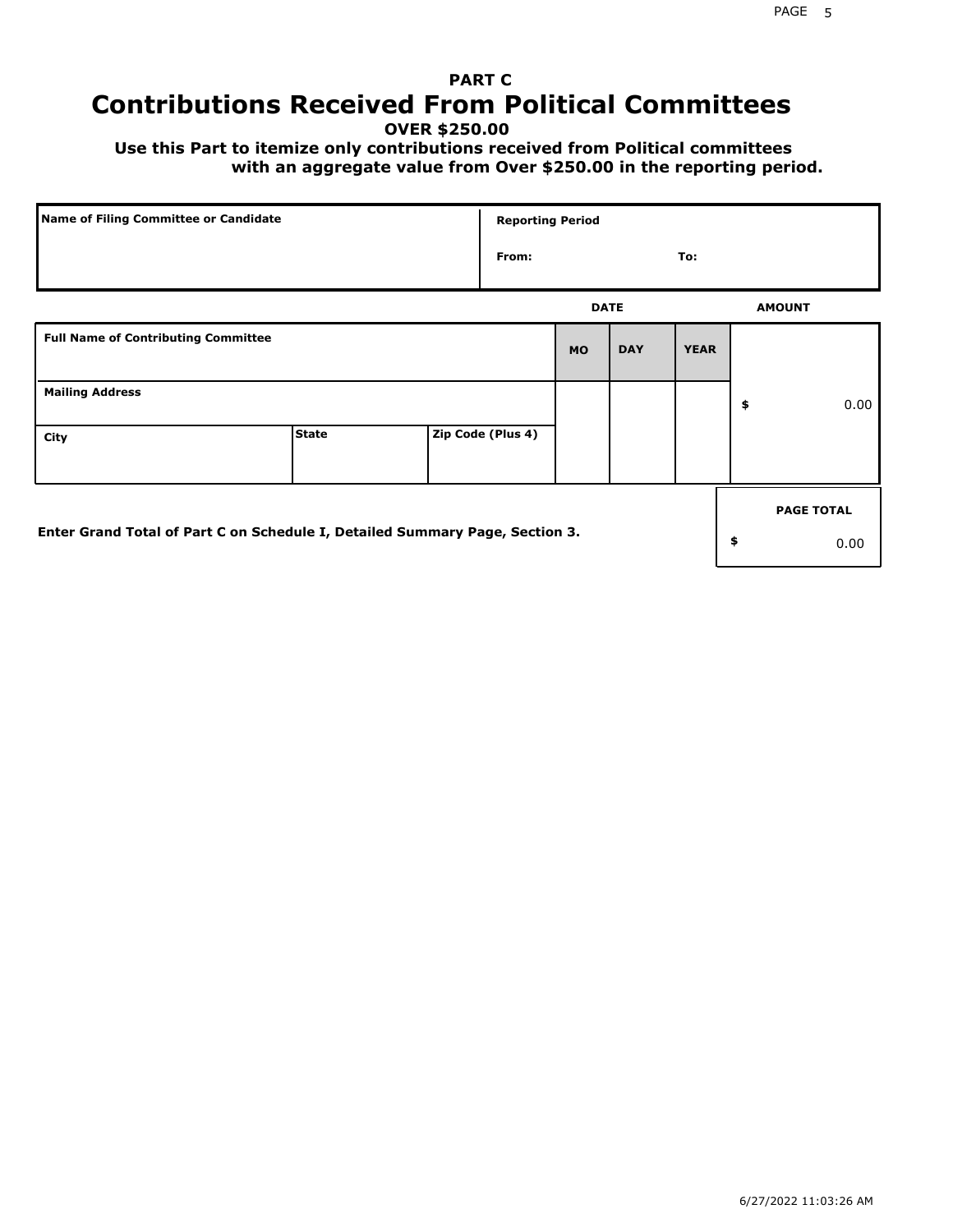# **PART C Contributions Received From Political Committees**

**OVER \$250.00**

 **Use this Part to itemize only contributions received from Political committees with an aggregate value from Over \$250.00 in the reporting period.**

|                                                                              | Name of Filing Committee or Candidate |  |                   | <b>Reporting Period</b> |            |             |                   |
|------------------------------------------------------------------------------|---------------------------------------|--|-------------------|-------------------------|------------|-------------|-------------------|
|                                                                              |                                       |  | From:             |                         |            | To:         |                   |
|                                                                              |                                       |  |                   | <b>DATE</b>             |            |             | <b>AMOUNT</b>     |
| <b>Full Name of Contributing Committee</b>                                   |                                       |  |                   | <b>MO</b>               | <b>DAY</b> | <b>YEAR</b> |                   |
| <b>Mailing Address</b>                                                       |                                       |  |                   |                         |            |             | \$<br>0.00        |
| City                                                                         | <b>State</b>                          |  | Zip Code (Plus 4) |                         |            |             |                   |
|                                                                              |                                       |  |                   |                         |            |             | <b>PAGE TOTAL</b> |
| Enter Grand Total of Part C on Schedule I, Detailed Summary Page, Section 3. |                                       |  |                   |                         |            |             | \$<br>0.00        |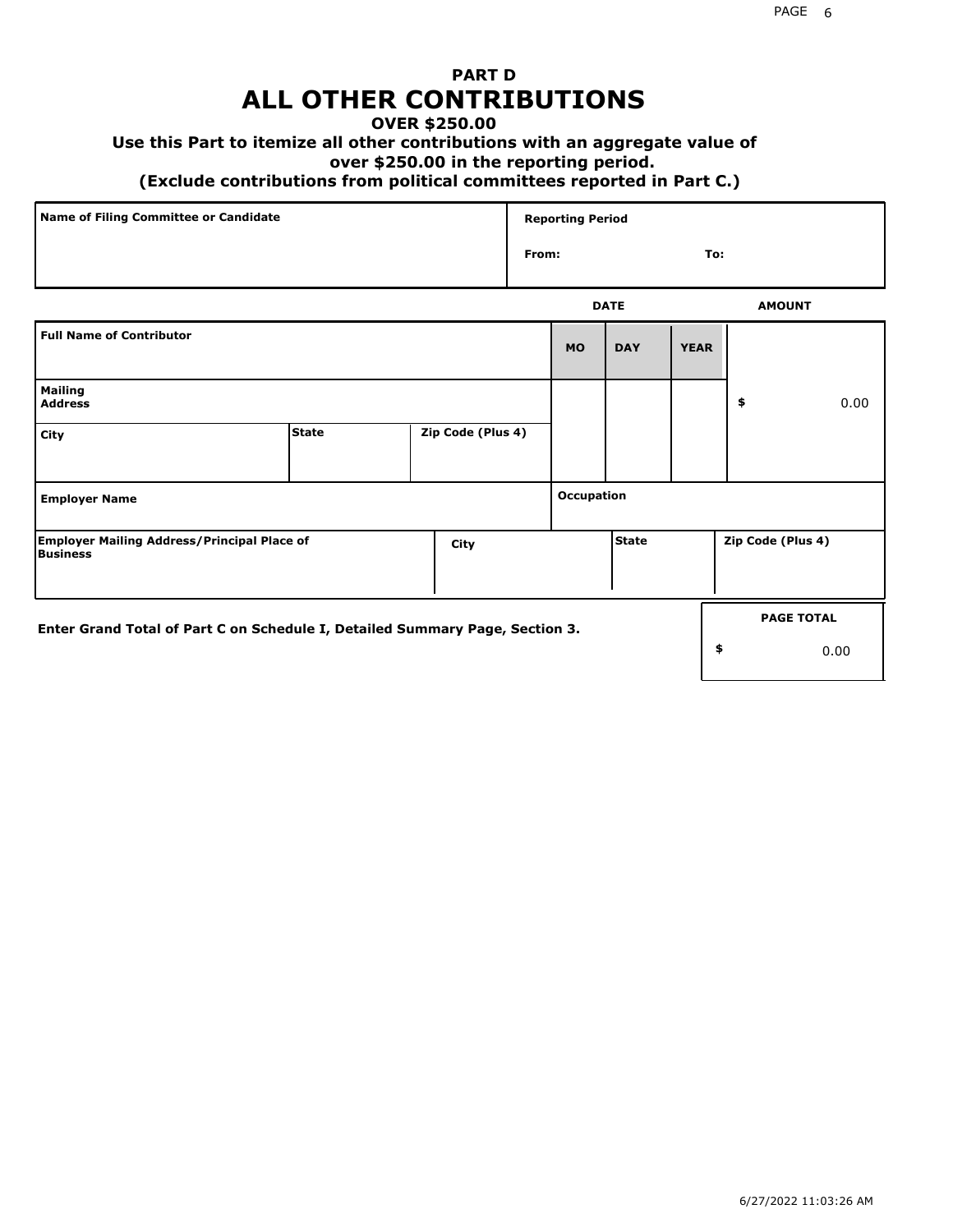## **PART D ALL OTHER CONTRIBUTIONS**

#### **OVER \$250.00**

### **Use this Part to itemize all other contributions with an aggregate value of**

#### **over \$250.00 in the reporting period.**

#### **(Exclude contributions from political committees reported in Part C.)**

| Name of Filing Committee or Candidate | <b>Reporting Period</b> |               |
|---------------------------------------|-------------------------|---------------|
|                                       | From:                   | To:           |
|                                       | <b>DATE</b>             | <b>AMOUNT</b> |

|                                                                              |       |                   |            | ----         |             |                   | <b>APPOVITE</b>   |
|------------------------------------------------------------------------------|-------|-------------------|------------|--------------|-------------|-------------------|-------------------|
| <b>Full Name of Contributor</b>                                              |       |                   | <b>MO</b>  | <b>DAY</b>   | <b>YEAR</b> |                   |                   |
| <b>Mailing</b><br><b>Address</b>                                             |       |                   |            |              |             | \$                | 0.00              |
| City                                                                         | State | Zip Code (Plus 4) |            |              |             |                   |                   |
| <b>Employer Name</b>                                                         |       |                   | Occupation |              |             |                   |                   |
| <b>Employer Mailing Address/Principal Place of</b><br>Business               |       | City              |            | <b>State</b> |             | Zip Code (Plus 4) |                   |
| Enter Grand Total of Part C on Schedule I, Detailed Summary Page, Section 3. |       |                   |            |              |             | \$                | <b>PAGE TOTAL</b> |
|                                                                              |       |                   |            |              |             |                   | 0.00              |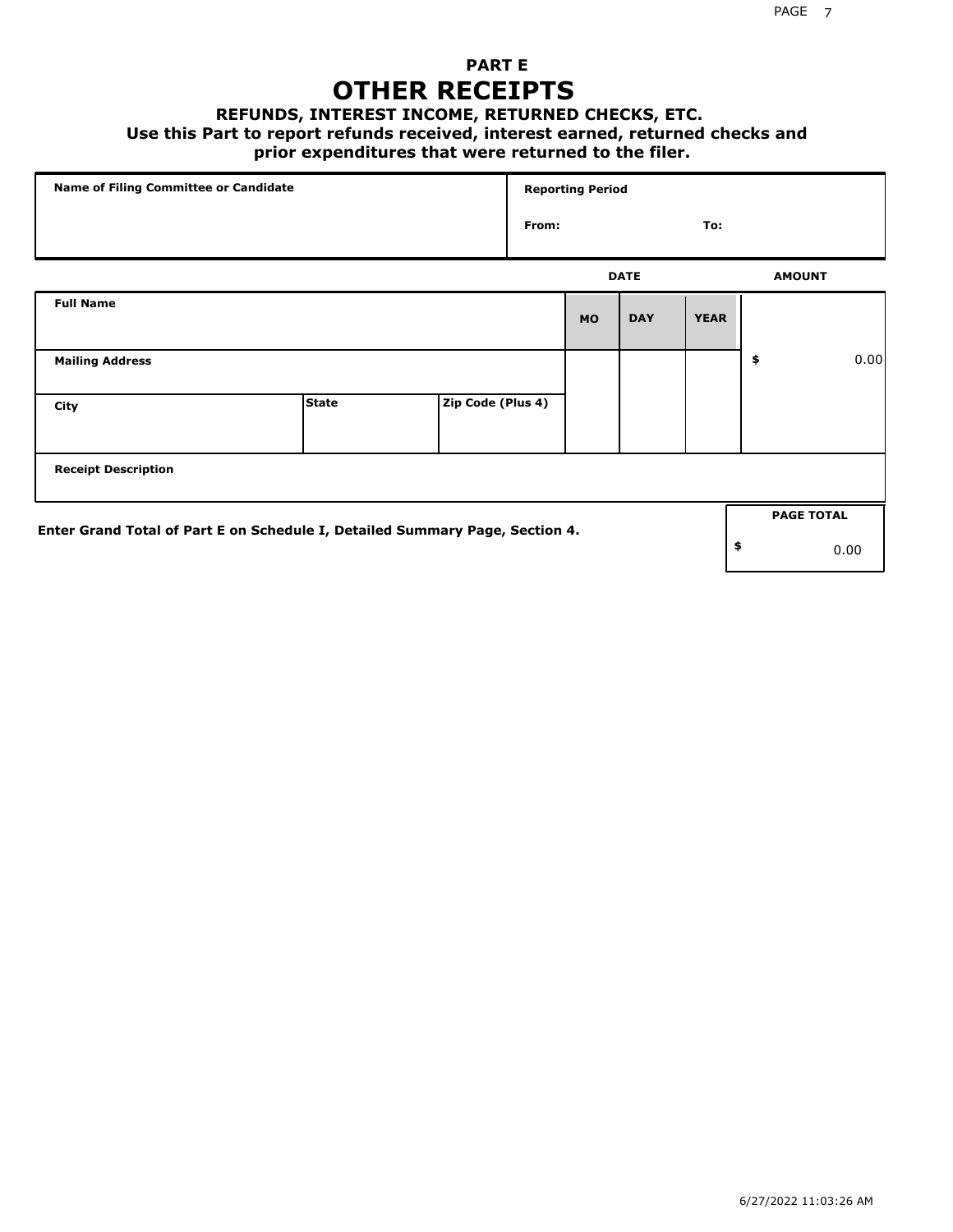### **PART E OTHER RECEIPTS**

#### **REFUNDS, INTEREST INCOME, RETURNED CHECKS, ETC.**

 **Use this Part to report refunds received, interest earned, returned checks and**

### **prior expenditures that were returned to the filer.**

| Name of Filing Committee or Candidate                                        |              |                   | <b>Reporting Period</b> |           |             |             |    |                   |      |
|------------------------------------------------------------------------------|--------------|-------------------|-------------------------|-----------|-------------|-------------|----|-------------------|------|
|                                                                              |              |                   | From:                   |           |             | To:         |    |                   |      |
|                                                                              |              |                   |                         |           | <b>DATE</b> |             |    | <b>AMOUNT</b>     |      |
| <b>Full Name</b>                                                             |              |                   |                         | <b>MO</b> | <b>DAY</b>  | <b>YEAR</b> |    |                   |      |
| <b>Mailing Address</b>                                                       |              |                   |                         |           |             |             | \$ |                   | 0.00 |
| City                                                                         | <b>State</b> | Zip Code (Plus 4) |                         |           |             |             |    |                   |      |
| <b>Receipt Description</b>                                                   |              |                   |                         |           |             |             |    |                   |      |
| Enter Grand Total of Part E on Schedule I, Detailed Summary Page, Section 4. |              |                   |                         |           |             |             |    | <b>PAGE TOTAL</b> |      |
|                                                                              |              |                   |                         |           |             |             | \$ |                   | 0.00 |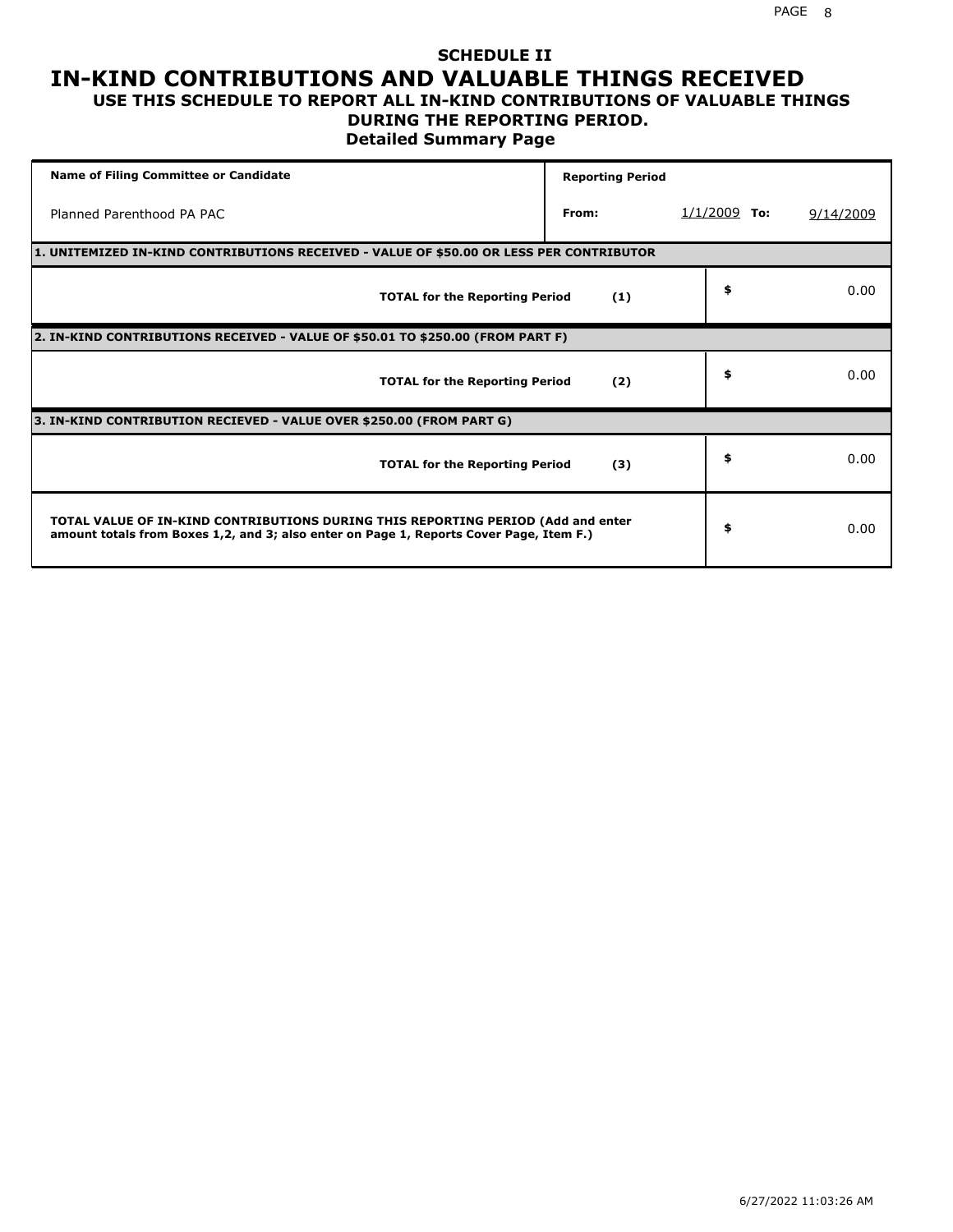# **SCHEDULE II IN-KIND CONTRIBUTIONS AND VALUABLE THINGS RECEIVED**

#### **USE THIS SCHEDULE TO REPORT ALL IN-KIND CONTRIBUTIONS OF VALUABLE THINGS DURING THE REPORTING PERIOD.**

**Detailed Summary Page**

| <b>Name of Filing Committee or Candidate</b>                                                                                                                                | <b>Reporting Period</b> |                |           |
|-----------------------------------------------------------------------------------------------------------------------------------------------------------------------------|-------------------------|----------------|-----------|
| Planned Parenthood PA PAC                                                                                                                                                   | From:                   | $1/1/2009$ To: | 9/14/2009 |
| 1. UNITEMIZED IN-KIND CONTRIBUTIONS RECEIVED - VALUE OF \$50.00 OR LESS PER CONTRIBUTOR                                                                                     |                         |                |           |
| <b>TOTAL for the Reporting Period</b>                                                                                                                                       | (1)                     | \$             | 0.00      |
| 2. IN-KIND CONTRIBUTIONS RECEIVED - VALUE OF \$50.01 TO \$250.00 (FROM PART F)                                                                                              |                         |                |           |
| <b>TOTAL for the Reporting Period</b>                                                                                                                                       | (2)                     | \$             | 0.00      |
| 3. IN-KIND CONTRIBUTION RECIEVED - VALUE OVER \$250.00 (FROM PART G)                                                                                                        |                         |                |           |
| <b>TOTAL for the Reporting Period</b>                                                                                                                                       | (3)                     | \$             | 0.00      |
| TOTAL VALUE OF IN-KIND CONTRIBUTIONS DURING THIS REPORTING PERIOD (Add and enter<br>amount totals from Boxes 1,2, and 3; also enter on Page 1, Reports Cover Page, Item F.) |                         | \$             | 0.00      |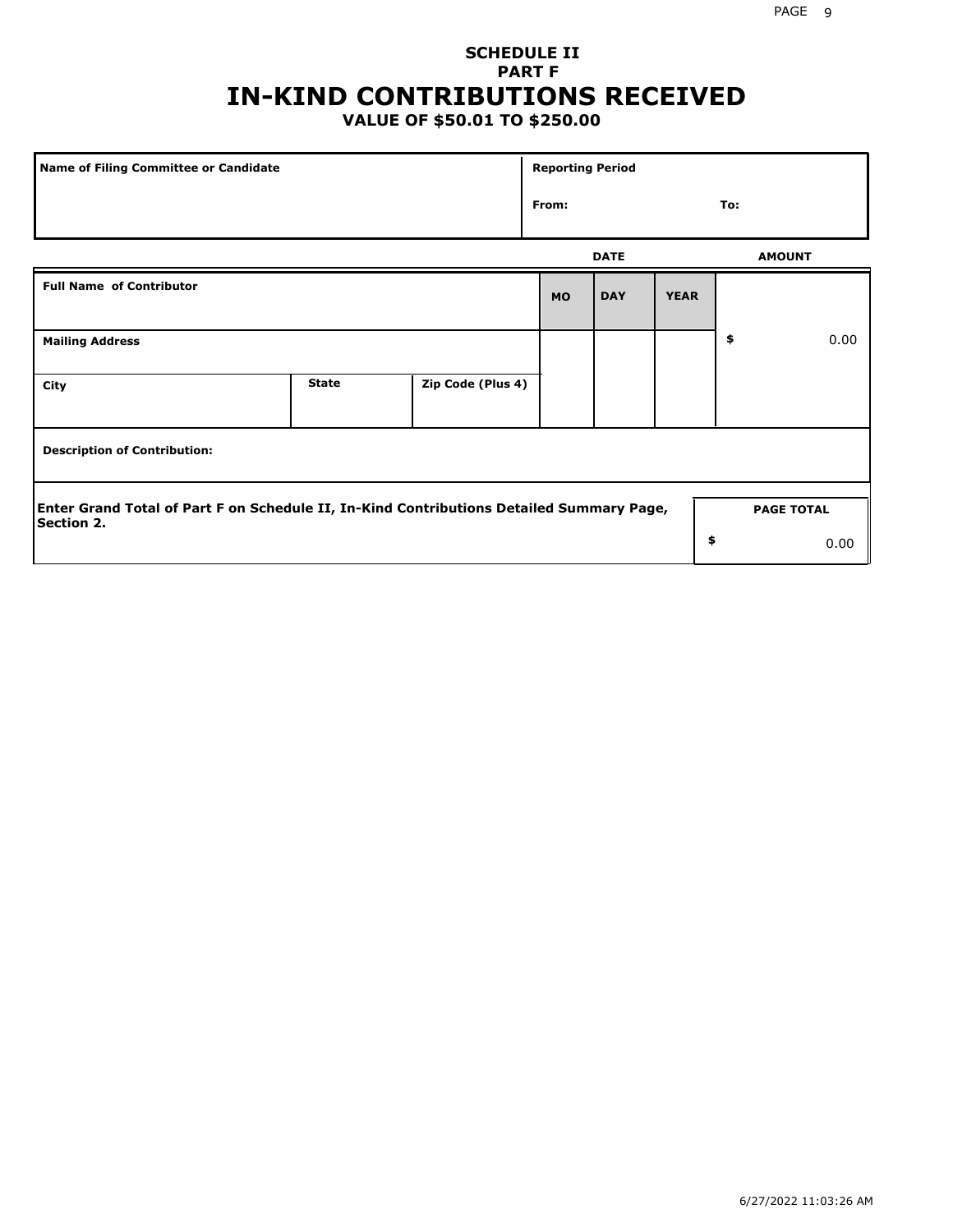## **SCHEDULE II PART F IN-KIND CONTRIBUTIONS RECEIVED**

## **VALUE OF \$50.01 TO \$250.00**

| Name of Filing Committee or Candidate                                                                         |              |                   | <b>Reporting Period</b> |             |             |                   |      |
|---------------------------------------------------------------------------------------------------------------|--------------|-------------------|-------------------------|-------------|-------------|-------------------|------|
| From:                                                                                                         |              |                   |                         |             |             | To:               |      |
|                                                                                                               |              |                   |                         | <b>DATE</b> |             | <b>AMOUNT</b>     |      |
| <b>Full Name of Contributor</b>                                                                               |              |                   | <b>MO</b>               | <b>DAY</b>  | <b>YEAR</b> |                   |      |
| <b>Mailing Address</b>                                                                                        |              |                   |                         |             |             | \$                | 0.00 |
| City                                                                                                          | <b>State</b> | Zip Code (Plus 4) |                         |             |             |                   |      |
| <b>Description of Contribution:</b>                                                                           |              |                   |                         |             |             |                   |      |
| Enter Grand Total of Part F on Schedule II, In-Kind Contributions Detailed Summary Page,<br><b>Section 2.</b> |              |                   |                         |             |             | <b>PAGE TOTAL</b> |      |
|                                                                                                               |              |                   |                         |             | \$          |                   | 0.00 |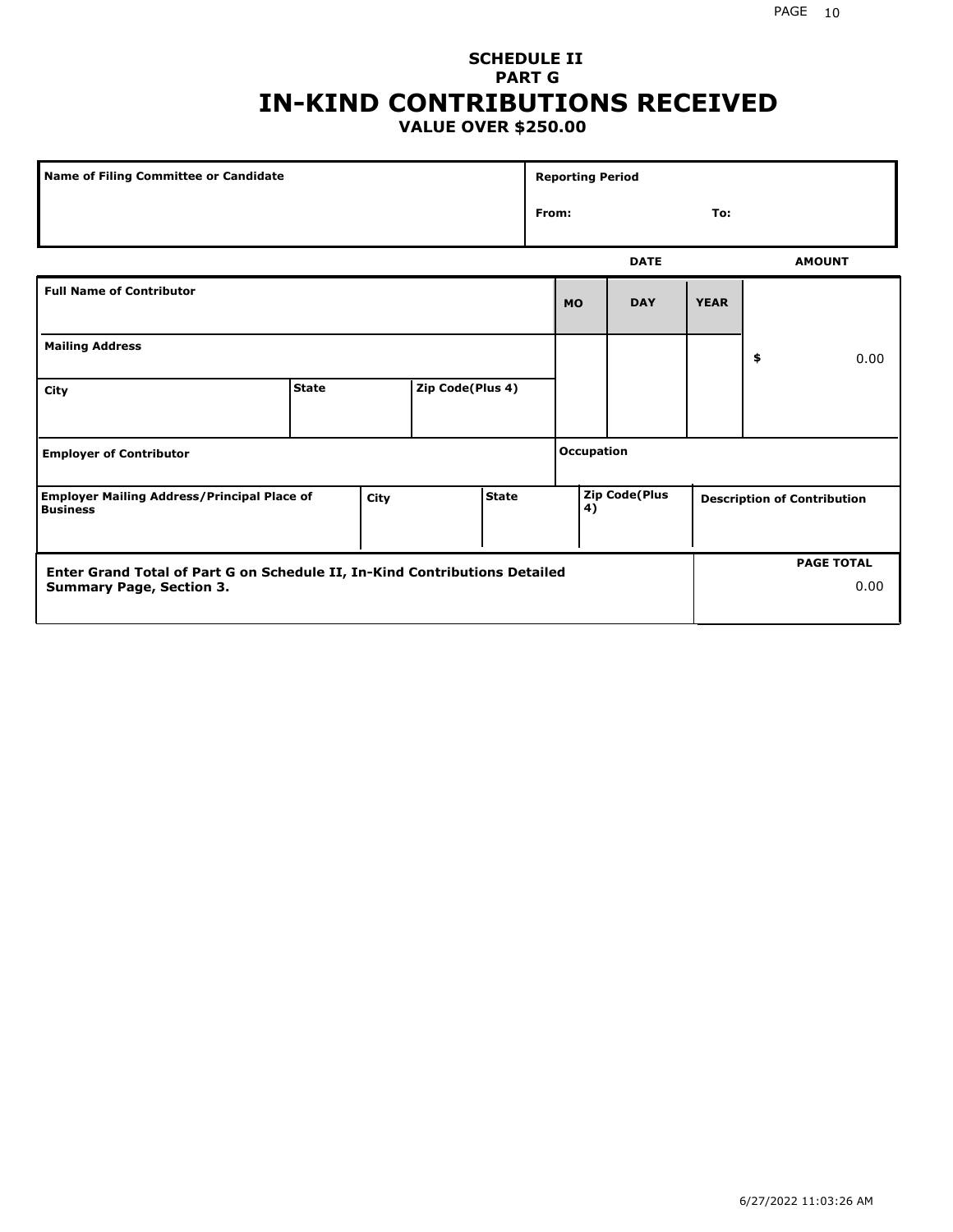### **SCHEDULE II PART G IN-KIND CONTRIBUTIONS RECEIVED VALUE OVER \$250.00**

| Name of Filing Committee or Candidate                                                         |              |  |                  |              |                      | <b>Reporting Period</b> |             |                                    |    |               |
|-----------------------------------------------------------------------------------------------|--------------|--|------------------|--------------|----------------------|-------------------------|-------------|------------------------------------|----|---------------|
|                                                                                               |              |  |                  | From:<br>To: |                      |                         |             |                                    |    |               |
|                                                                                               |              |  |                  |              |                      |                         | <b>DATE</b> |                                    |    | <b>AMOUNT</b> |
| <b>Full Name of Contributor</b>                                                               |              |  |                  |              |                      | <b>MO</b>               | <b>DAY</b>  | <b>YEAR</b>                        |    |               |
| <b>Mailing Address</b>                                                                        |              |  |                  |              |                      |                         |             |                                    | \$ | 0.00          |
| City                                                                                          | <b>State</b> |  | Zip Code(Plus 4) |              |                      |                         |             |                                    |    |               |
| <b>Employer of Contributor</b>                                                                |              |  |                  |              | <b>Occupation</b>    |                         |             |                                    |    |               |
| <b>State</b><br><b>Employer Mailing Address/Principal Place of</b><br>City<br><b>Business</b> |              |  |                  | 4)           | <b>Zip Code(Plus</b> |                         |             | <b>Description of Contribution</b> |    |               |

| <b>Enter Grand Total of Part G on Schedule II, In-Kind Contributions Detailed</b> |  | <b>PAGE TOTAL</b> |
|-----------------------------------------------------------------------------------|--|-------------------|
| <b>Summary Page, Section 3.</b>                                                   |  | 0.00              |
|                                                                                   |  |                   |